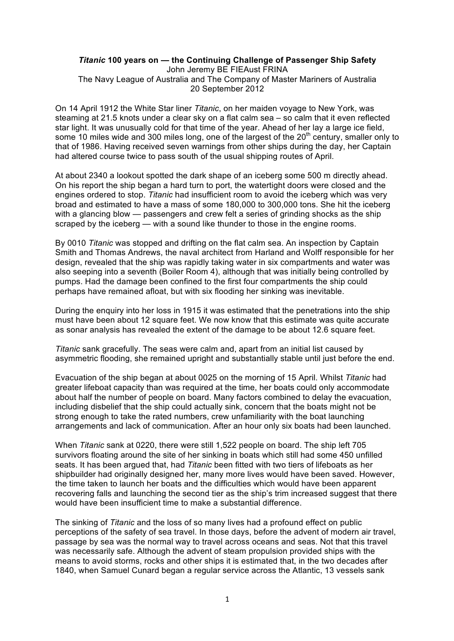#### *Titanic* **100 years on — the Continuing Challenge of Passenger Ship Safety** John Jeremy BE FIEAust FRINA The Navy League of Australia and The Company of Master Mariners of Australia

20 September 2012

On 14 April 1912 the White Star liner *Titanic*, on her maiden voyage to New York, was steaming at 21.5 knots under a clear sky on a flat calm sea – so calm that it even reflected star light. It was unusually cold for that time of the year. Ahead of her lay a large ice field, some 10 miles wide and 300 miles long, one of the largest of the  $20<sup>th</sup>$  century, smaller only to that of 1986. Having received seven warnings from other ships during the day, her Captain had altered course twice to pass south of the usual shipping routes of April.

At about 2340 a lookout spotted the dark shape of an iceberg some 500 m directly ahead. On his report the ship began a hard turn to port, the watertight doors were closed and the engines ordered to stop. *Titanic* had insufficient room to avoid the iceberg which was very broad and estimated to have a mass of some 180,000 to 300,000 tons. She hit the iceberg with a glancing blow — passengers and crew felt a series of grinding shocks as the ship scraped by the iceberg — with a sound like thunder to those in the engine rooms.

By 0010 *Titanic* was stopped and drifting on the flat calm sea. An inspection by Captain Smith and Thomas Andrews, the naval architect from Harland and Wolff responsible for her design, revealed that the ship was rapidly taking water in six compartments and water was also seeping into a seventh (Boiler Room 4), although that was initially being controlled by pumps. Had the damage been confined to the first four compartments the ship could perhaps have remained afloat, but with six flooding her sinking was inevitable.

During the enquiry into her loss in 1915 it was estimated that the penetrations into the ship must have been about 12 square feet. We now know that this estimate was quite accurate as sonar analysis has revealed the extent of the damage to be about 12.6 square feet.

*Titanic* sank gracefully. The seas were calm and, apart from an initial list caused by asymmetric flooding, she remained upright and substantially stable until just before the end.

Evacuation of the ship began at about 0025 on the morning of 15 April. Whilst *Titanic* had greater lifeboat capacity than was required at the time, her boats could only accommodate about half the number of people on board. Many factors combined to delay the evacuation, including disbelief that the ship could actually sink, concern that the boats might not be strong enough to take the rated numbers, crew unfamiliarity with the boat launching arrangements and lack of communication. After an hour only six boats had been launched.

When *Titanic* sank at 0220, there were still 1,522 people on board. The ship left 705 survivors floating around the site of her sinking in boats which still had some 450 unfilled seats. It has been argued that, had *Titanic* been fitted with two tiers of lifeboats as her shipbuilder had originally designed her, many more lives would have been saved. However, the time taken to launch her boats and the difficulties which would have been apparent recovering falls and launching the second tier as the ship's trim increased suggest that there would have been insufficient time to make a substantial difference.

The sinking of *Titanic* and the loss of so many lives had a profound effect on public perceptions of the safety of sea travel. In those days, before the advent of modern air travel, passage by sea was the normal way to travel across oceans and seas. Not that this travel was necessarily safe. Although the advent of steam propulsion provided ships with the means to avoid storms, rocks and other ships it is estimated that, in the two decades after 1840, when Samuel Cunard began a regular service across the Atlantic, 13 vessels sank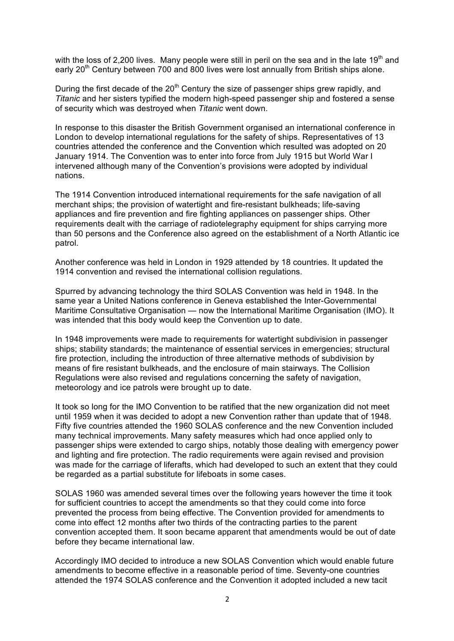with the loss of 2.200 lives. Many people were still in peril on the sea and in the late 19<sup>th</sup> and early 20<sup>th</sup> Century between 700 and 800 lives were lost annually from British ships alone.

During the first decade of the  $20<sup>th</sup>$  Century the size of passenger ships grew rapidly, and *Titanic* and her sisters typified the modern high-speed passenger ship and fostered a sense of security which was destroyed when *Titanic* went down.

In response to this disaster the British Government organised an international conference in London to develop international regulations for the safety of ships. Representatives of 13 countries attended the conference and the Convention which resulted was adopted on 20 January 1914. The Convention was to enter into force from July 1915 but World War I intervened although many of the Convention's provisions were adopted by individual nations.

The 1914 Convention introduced international requirements for the safe navigation of all merchant ships; the provision of watertight and fire-resistant bulkheads; life-saving appliances and fire prevention and fire fighting appliances on passenger ships. Other requirements dealt with the carriage of radiotelegraphy equipment for ships carrying more than 50 persons and the Conference also agreed on the establishment of a North Atlantic ice patrol.

Another conference was held in London in 1929 attended by 18 countries. It updated the 1914 convention and revised the international collision regulations.

Spurred by advancing technology the third SOLAS Convention was held in 1948. In the same year a United Nations conference in Geneva established the Inter-Governmental Maritime Consultative Organisation — now the International Maritime Organisation (IMO). It was intended that this body would keep the Convention up to date.

In 1948 improvements were made to requirements for watertight subdivision in passenger ships; stability standards; the maintenance of essential services in emergencies; structural fire protection, including the introduction of three alternative methods of subdivision by means of fire resistant bulkheads, and the enclosure of main stairways. The Collision Regulations were also revised and regulations concerning the safety of navigation, meteorology and ice patrols were brought up to date.

It took so long for the IMO Convention to be ratified that the new organization did not meet until 1959 when it was decided to adopt a new Convention rather than update that of 1948. Fifty five countries attended the 1960 SOLAS conference and the new Convention included many technical improvements. Many safety measures which had once applied only to passenger ships were extended to cargo ships, notably those dealing with emergency power and lighting and fire protection. The radio requirements were again revised and provision was made for the carriage of liferafts, which had developed to such an extent that they could be regarded as a partial substitute for lifeboats in some cases.

SOLAS 1960 was amended several times over the following years however the time it took for sufficient countries to accept the amendments so that they could come into force prevented the process from being effective. The Convention provided for amendments to come into effect 12 months after two thirds of the contracting parties to the parent convention accepted them. It soon became apparent that amendments would be out of date before they became international law.

Accordingly IMO decided to introduce a new SOLAS Convention which would enable future amendments to become effective in a reasonable period of time. Seventy-one countries attended the 1974 SOLAS conference and the Convention it adopted included a new tacit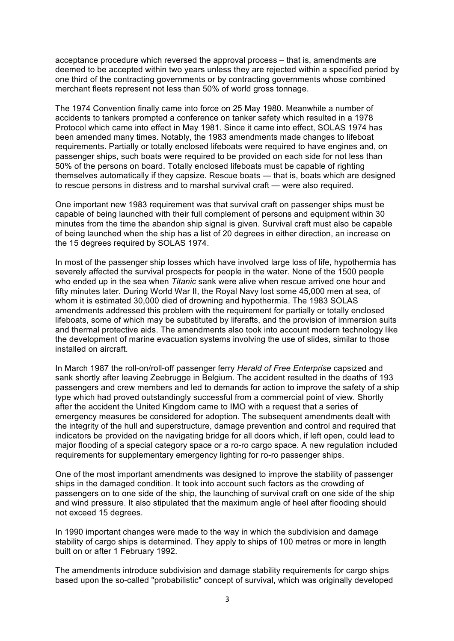acceptance procedure which reversed the approval process – that is, amendments are deemed to be accepted within two years unless they are rejected within a specified period by one third of the contracting governments or by contracting governments whose combined merchant fleets represent not less than 50% of world gross tonnage.

The 1974 Convention finally came into force on 25 May 1980. Meanwhile a number of accidents to tankers prompted a conference on tanker safety which resulted in a 1978 Protocol which came into effect in May 1981. Since it came into effect, SOLAS 1974 has been amended many times. Notably, the 1983 amendments made changes to lifeboat requirements. Partially or totally enclosed lifeboats were required to have engines and, on passenger ships, such boats were required to be provided on each side for not less than 50% of the persons on board. Totally enclosed lifeboats must be capable of righting themselves automatically if they capsize. Rescue boats — that is, boats which are designed to rescue persons in distress and to marshal survival craft — were also required.

One important new 1983 requirement was that survival craft on passenger ships must be capable of being launched with their full complement of persons and equipment within 30 minutes from the time the abandon ship signal is given. Survival craft must also be capable of being launched when the ship has a list of 20 degrees in either direction, an increase on the 15 degrees required by SOLAS 1974.

In most of the passenger ship losses which have involved large loss of life, hypothermia has severely affected the survival prospects for people in the water. None of the 1500 people who ended up in the sea when *Titanic* sank were alive when rescue arrived one hour and fifty minutes later. During World War II, the Royal Navy lost some 45,000 men at sea, of whom it is estimated 30,000 died of drowning and hypothermia. The 1983 SOLAS amendments addressed this problem with the requirement for partially or totally enclosed lifeboats, some of which may be substituted by liferafts, and the provision of immersion suits and thermal protective aids. The amendments also took into account modern technology like the development of marine evacuation systems involving the use of slides, similar to those installed on aircraft.

In March 1987 the roll-on/roll-off passenger ferry *Herald of Free Enterprise* capsized and sank shortly after leaving Zeebrugge in Belgium. The accident resulted in the deaths of 193 passengers and crew members and led to demands for action to improve the safety of a ship type which had proved outstandingly successful from a commercial point of view. Shortly after the accident the United Kingdom came to IMO with a request that a series of emergency measures be considered for adoption. The subsequent amendments dealt with the integrity of the hull and superstructure, damage prevention and control and required that indicators be provided on the navigating bridge for all doors which, if left open, could lead to major flooding of a special category space or a ro-ro cargo space. A new regulation included requirements for supplementary emergency lighting for ro-ro passenger ships.

One of the most important amendments was designed to improve the stability of passenger ships in the damaged condition. It took into account such factors as the crowding of passengers on to one side of the ship, the launching of survival craft on one side of the ship and wind pressure. It also stipulated that the maximum angle of heel after flooding should not exceed 15 degrees.

In 1990 important changes were made to the way in which the subdivision and damage stability of cargo ships is determined. They apply to ships of 100 metres or more in length built on or after 1 February 1992.

The amendments introduce subdivision and damage stability requirements for cargo ships based upon the so-called "probabilistic" concept of survival, which was originally developed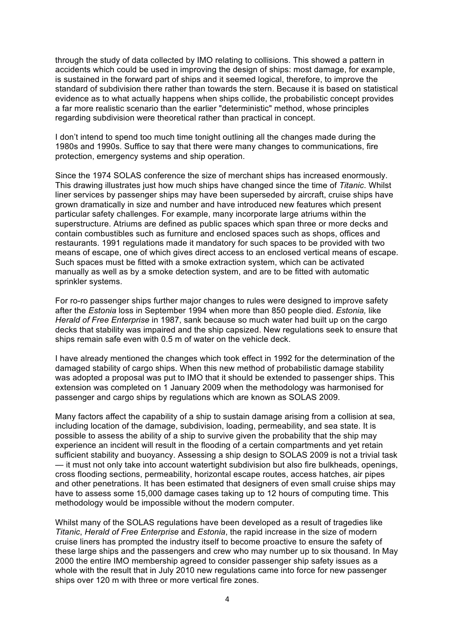through the study of data collected by IMO relating to collisions. This showed a pattern in accidents which could be used in improving the design of ships: most damage, for example, is sustained in the forward part of ships and it seemed logical, therefore, to improve the standard of subdivision there rather than towards the stern. Because it is based on statistical evidence as to what actually happens when ships collide, the probabilistic concept provides a far more realistic scenario than the earlier "deterministic" method, whose principles regarding subdivision were theoretical rather than practical in concept.

I don't intend to spend too much time tonight outlining all the changes made during the 1980s and 1990s. Suffice to say that there were many changes to communications, fire protection, emergency systems and ship operation.

Since the 1974 SOLAS conference the size of merchant ships has increased enormously. This drawing illustrates just how much ships have changed since the time of *Titanic*. Whilst liner services by passenger ships may have been superseded by aircraft, cruise ships have grown dramatically in size and number and have introduced new features which present particular safety challenges. For example, many incorporate large atriums within the superstructure. Atriums are defined as public spaces which span three or more decks and contain combustibles such as furniture and enclosed spaces such as shops, offices and restaurants. 1991 regulations made it mandatory for such spaces to be provided with two means of escape, one of which gives direct access to an enclosed vertical means of escape. Such spaces must be fitted with a smoke extraction system, which can be activated manually as well as by a smoke detection system, and are to be fitted with automatic sprinkler systems.

For ro-ro passenger ships further major changes to rules were designed to improve safety after the *Estonia* loss in September 1994 when more than 850 people died. *Estonia,* like *Herald of Free Enterprise* in 1987, sank because so much water had built up on the cargo decks that stability was impaired and the ship capsized. New regulations seek to ensure that ships remain safe even with 0.5 m of water on the vehicle deck.

I have already mentioned the changes which took effect in 1992 for the determination of the damaged stability of cargo ships. When this new method of probabilistic damage stability was adopted a proposal was put to IMO that it should be extended to passenger ships. This extension was completed on 1 January 2009 when the methodology was harmonised for passenger and cargo ships by regulations which are known as SOLAS 2009.

Many factors affect the capability of a ship to sustain damage arising from a collision at sea, including location of the damage, subdivision, loading, permeability, and sea state. It is possible to assess the ability of a ship to survive given the probability that the ship may experience an incident will result in the flooding of a certain compartments and yet retain sufficient stability and buoyancy. Assessing a ship design to SOLAS 2009 is not a trivial task — it must not only take into account watertight subdivision but also fire bulkheads, openings, cross flooding sections, permeability, horizontal escape routes, access hatches, air pipes and other penetrations. It has been estimated that designers of even small cruise ships may have to assess some 15,000 damage cases taking up to 12 hours of computing time. This methodology would be impossible without the modern computer.

Whilst many of the SOLAS regulations have been developed as a result of tragedies like *Titanic*, *Herald of Free Enterprise* and *Estonia*, the rapid increase in the size of modern cruise liners has prompted the industry itself to become proactive to ensure the safety of these large ships and the passengers and crew who may number up to six thousand. In May 2000 the entire IMO membership agreed to consider passenger ship safety issues as a whole with the result that in July 2010 new regulations came into force for new passenger ships over 120 m with three or more vertical fire zones.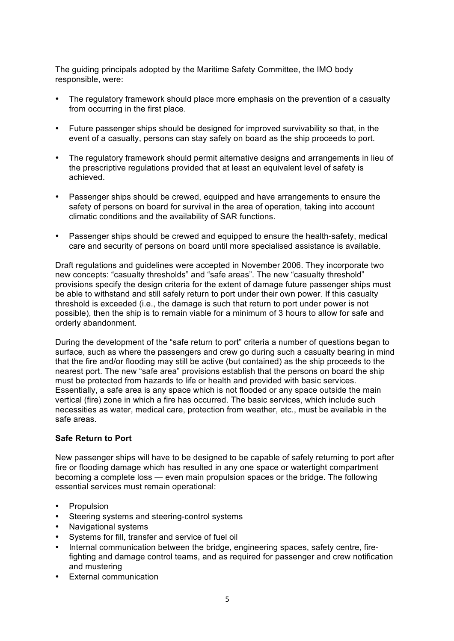The guiding principals adopted by the Maritime Safety Committee, the IMO body responsible, were:

- The regulatory framework should place more emphasis on the prevention of a casualty from occurring in the first place.
- Future passenger ships should be designed for improved survivability so that, in the event of a casualty, persons can stay safely on board as the ship proceeds to port.
- The regulatory framework should permit alternative designs and arrangements in lieu of the prescriptive regulations provided that at least an equivalent level of safety is achieved.
- Passenger ships should be crewed, equipped and have arrangements to ensure the safety of persons on board for survival in the area of operation, taking into account climatic conditions and the availability of SAR functions.
- Passenger ships should be crewed and equipped to ensure the health-safety, medical care and security of persons on board until more specialised assistance is available.

Draft regulations and guidelines were accepted in November 2006. They incorporate two new concepts: "casualty thresholds" and "safe areas". The new "casualty threshold" provisions specify the design criteria for the extent of damage future passenger ships must be able to withstand and still safely return to port under their own power. If this casualty threshold is exceeded (i.e., the damage is such that return to port under power is not possible), then the ship is to remain viable for a minimum of 3 hours to allow for safe and orderly abandonment.

During the development of the "safe return to port" criteria a number of questions began to surface, such as where the passengers and crew go during such a casualty bearing in mind that the fire and/or flooding may still be active (but contained) as the ship proceeds to the nearest port. The new "safe area" provisions establish that the persons on board the ship must be protected from hazards to life or health and provided with basic services. Essentially, a safe area is any space which is not flooded or any space outside the main vertical (fire) zone in which a fire has occurred. The basic services, which include such necessities as water, medical care, protection from weather, etc., must be available in the safe areas.

## **Safe Return to Port**

New passenger ships will have to be designed to be capable of safely returning to port after fire or flooding damage which has resulted in any one space or watertight compartment becoming a complete loss — even main propulsion spaces or the bridge. The following essential services must remain operational:

- Propulsion
- Steering systems and steering-control systems
- Navigational systems
- Systems for fill, transfer and service of fuel oil
- Internal communication between the bridge, engineering spaces, safety centre, firefighting and damage control teams, and as required for passenger and crew notification and mustering
- External communication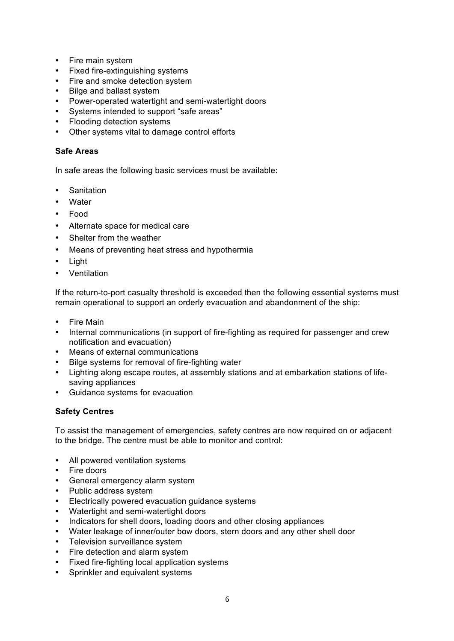- Fire main system
- Fixed fire-extinguishing systems
- Fire and smoke detection system
- Bilge and ballast system
- Power-operated watertight and semi-watertight doors
- Systems intended to support "safe areas"
- Flooding detection systems
- Other systems vital to damage control efforts

# **Safe Areas**

In safe areas the following basic services must be available:

- Sanitation
- Water
- Food
- Alternate space for medical care
- Shelter from the weather
- Means of preventing heat stress and hypothermia
- Light
- Ventilation

If the return-to-port casualty threshold is exceeded then the following essential systems must remain operational to support an orderly evacuation and abandonment of the ship:

- Fire Main
- Internal communications (in support of fire-fighting as required for passenger and crew notification and evacuation)
- Means of external communications
- Bilge systems for removal of fire-fighting water
- Lighting along escape routes, at assembly stations and at embarkation stations of lifesaving appliances
- Guidance systems for evacuation

## **Safety Centres**

To assist the management of emergencies, safety centres are now required on or adjacent to the bridge. The centre must be able to monitor and control:

- All powered ventilation systems
- Fire doors
- General emergency alarm system
- Public address system
- Electrically powered evacuation guidance systems
- Watertight and semi-watertight doors
- Indicators for shell doors, loading doors and other closing appliances
- Water leakage of inner/outer bow doors, stern doors and any other shell door
- Television surveillance system
- Fire detection and alarm system
- Fixed fire-fighting local application systems
- Sprinkler and equivalent systems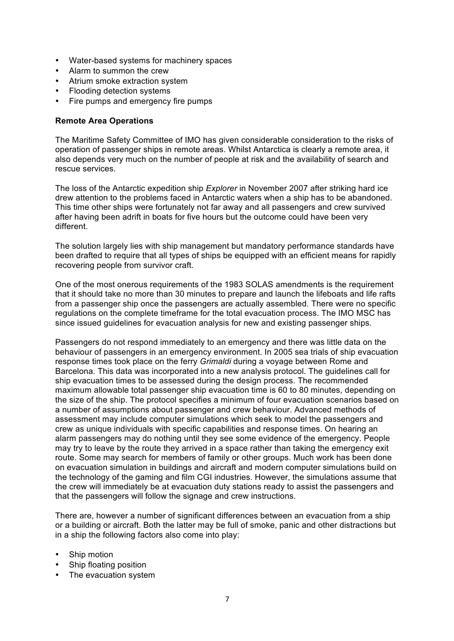- Water-based systems for machinery spaces
- Alarm to summon the crew
- Atrium smoke extraction system
- Flooding detection systems
- Fire pumps and emergency fire pumps

### **Remote Area Operations**

The Maritime Safety Committee of IMO has given considerable consideration to the risks of operation of passenger ships in remote areas. Whilst Antarctica is clearly a remote area, it also depends very much on the number of people at risk and the availability of search and rescue services.

The loss of the Antarctic expedition ship *Explorer* in November 2007 after striking hard ice drew attention to the problems faced in Antarctic waters when a ship has to be abandoned. This time other ships were fortunately not far away and all passengers and crew survived after having been adrift in boats for five hours but the outcome could have been very different.

The solution largely lies with ship management but mandatory performance standards have been drafted to require that all types of ships be equipped with an efficient means for rapidly recovering people from survivor craft.

One of the most onerous requirements of the 1983 SOLAS amendments is the requirement that it should take no more than 30 minutes to prepare and launch the lifeboats and life rafts from a passenger ship once the passengers are actually assembled. There were no specific regulations on the complete timeframe for the total evacuation process. The IMO MSC has since issued guidelines for evacuation analysis for new and existing passenger ships.

Passengers do not respond immediately to an emergency and there was little data on the behaviour of passengers in an emergency environment. In 2005 sea trials of ship evacuation response times took place on the ferry *Grimaldi* during a voyage between Rome and Barcelona. This data was incorporated into a new analysis protocol. The guidelines call for ship evacuation times to be assessed during the design process. The recommended maximum allowable total passenger ship evacuation time is 60 to 80 minutes, depending on the size of the ship. The protocol specifies a minimum of four evacuation scenarios based on a number of assumptions about passenger and crew behaviour. Advanced methods of assessment may include computer simulations which seek to model the passengers and crew as unique individuals with specific capabilities and response times. On hearing an alarm passengers may do nothing until they see some evidence of the emergency. People may try to leave by the route they arrived in a space rather than taking the emergency exit route. Some may search for members of family or other groups. Much work has been done on evacuation simulation in buildings and aircraft and modern computer simulations build on the technology of the gaming and film CGI industries. However, the simulations assume that the crew will immediately be at evacuation duty stations ready to assist the passengers and that the passengers will follow the signage and crew instructions.

There are, however a number of significant differences between an evacuation from a ship or a building or aircraft. Both the latter may be full of smoke, panic and other distractions but in a ship the following factors also come into play:

- Ship motion
- Ship floating position
- The evacuation system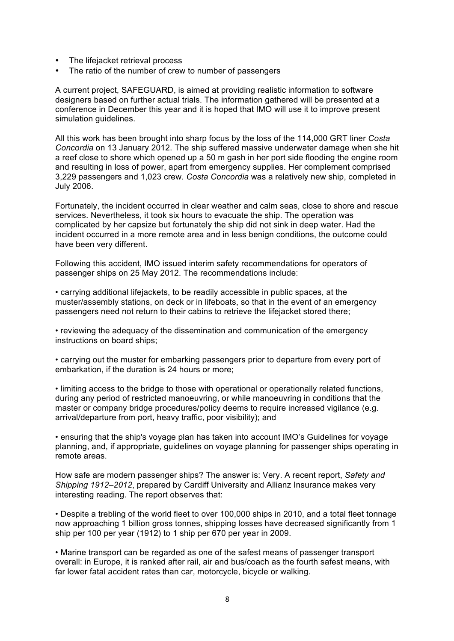- The lifejacket retrieval process
- The ratio of the number of crew to number of passengers

A current project, SAFEGUARD, is aimed at providing realistic information to software designers based on further actual trials. The information gathered will be presented at a conference in December this year and it is hoped that IMO will use it to improve present simulation guidelines.

All this work has been brought into sharp focus by the loss of the 114,000 GRT liner *Costa Concordia* on 13 January 2012. The ship suffered massive underwater damage when she hit a reef close to shore which opened up a 50 m gash in her port side flooding the engine room and resulting in loss of power, apart from emergency supplies. Her complement comprised 3,229 passengers and 1,023 crew. *Costa Concordia* was a relatively new ship, completed in July 2006.

Fortunately, the incident occurred in clear weather and calm seas, close to shore and rescue services. Nevertheless, it took six hours to evacuate the ship. The operation was complicated by her capsize but fortunately the ship did not sink in deep water. Had the incident occurred in a more remote area and in less benign conditions, the outcome could have been very different.

Following this accident, IMO issued interim safety recommendations for operators of passenger ships on 25 May 2012. The recommendations include:

• carrying additional lifejackets, to be readily accessible in public spaces, at the muster/assembly stations, on deck or in lifeboats, so that in the event of an emergency passengers need not return to their cabins to retrieve the lifejacket stored there;

• reviewing the adequacy of the dissemination and communication of the emergency instructions on board ships;

• carrying out the muster for embarking passengers prior to departure from every port of embarkation, if the duration is 24 hours or more;

• limiting access to the bridge to those with operational or operationally related functions, during any period of restricted manoeuvring, or while manoeuvring in conditions that the master or company bridge procedures/policy deems to require increased vigilance (e.g. arrival/departure from port, heavy traffic, poor visibility); and

• ensuring that the ship's voyage plan has taken into account IMO's Guidelines for voyage planning, and, if appropriate, guidelines on voyage planning for passenger ships operating in remote areas.

How safe are modern passenger ships? The answer is: Very. A recent report, *Safety and Shipping 1912–2012*, prepared by Cardiff University and Allianz Insurance makes very interesting reading. The report observes that:

• Despite a trebling of the world fleet to over 100,000 ships in 2010, and a total fleet tonnage now approaching 1 billion gross tonnes, shipping losses have decreased significantly from 1 ship per 100 per year (1912) to 1 ship per 670 per year in 2009.

• Marine transport can be regarded as one of the safest means of passenger transport overall: in Europe, it is ranked after rail, air and bus/coach as the fourth safest means, with far lower fatal accident rates than car, motorcycle, bicycle or walking.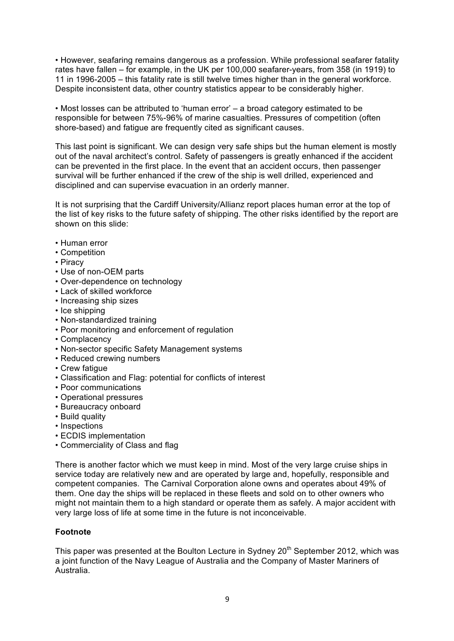• However, seafaring remains dangerous as a profession. While professional seafarer fatality rates have fallen – for example, in the UK per 100,000 seafarer-years, from 358 (in 1919) to 11 in 1996-2005 – this fatality rate is still twelve times higher than in the general workforce. Despite inconsistent data, other country statistics appear to be considerably higher.

• Most losses can be attributed to 'human error' – a broad category estimated to be responsible for between 75%-96% of marine casualties. Pressures of competition (often shore-based) and fatigue are frequently cited as significant causes.

This last point is significant. We can design very safe ships but the human element is mostly out of the naval architect's control. Safety of passengers is greatly enhanced if the accident can be prevented in the first place. In the event that an accident occurs, then passenger survival will be further enhanced if the crew of the ship is well drilled, experienced and disciplined and can supervise evacuation in an orderly manner.

It is not surprising that the Cardiff University/Allianz report places human error at the top of the list of key risks to the future safety of shipping. The other risks identified by the report are shown on this slide:

- Human error
- Competition
- Piracy
- Use of non-OEM parts
- Over-dependence on technology
- Lack of skilled workforce
- Increasing ship sizes
- Ice shipping
- Non-standardized training
- Poor monitoring and enforcement of regulation
- Complacency
- Non-sector specific Safety Management systems
- Reduced crewing numbers
- Crew fatigue
- Classification and Flag: potential for conflicts of interest
- Poor communications
- Operational pressures
- Bureaucracy onboard
- Build quality
- Inspections
- ECDIS implementation
- Commerciality of Class and flag

There is another factor which we must keep in mind. Most of the very large cruise ships in service today are relatively new and are operated by large and, hopefully, responsible and competent companies. The Carnival Corporation alone owns and operates about 49% of them. One day the ships will be replaced in these fleets and sold on to other owners who might not maintain them to a high standard or operate them as safely. A major accident with very large loss of life at some time in the future is not inconceivable.

## **Footnote**

This paper was presented at the Boulton Lecture in Sydney 20<sup>th</sup> September 2012, which was a joint function of the Navy League of Australia and the Company of Master Mariners of Australia.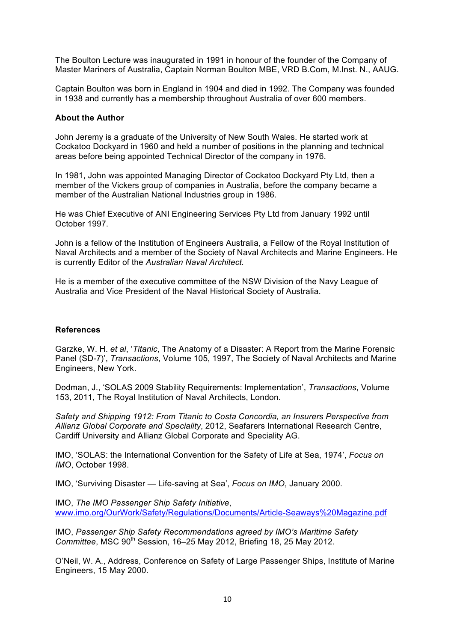The Boulton Lecture was inaugurated in 1991 in honour of the founder of the Company of Master Mariners of Australia, Captain Norman Boulton MBE, VRD B.Com, M.Inst. N., AAUG.

Captain Boulton was born in England in 1904 and died in 1992. The Company was founded in 1938 and currently has a membership throughout Australia of over 600 members.

#### **About the Author**

John Jeremy is a graduate of the University of New South Wales. He started work at Cockatoo Dockyard in 1960 and held a number of positions in the planning and technical areas before being appointed Technical Director of the company in 1976.

In 1981, John was appointed Managing Director of Cockatoo Dockyard Pty Ltd, then a member of the Vickers group of companies in Australia, before the company became a member of the Australian National Industries group in 1986.

He was Chief Executive of ANI Engineering Services Pty Ltd from January 1992 until October 1997.

John is a fellow of the Institution of Engineers Australia, a Fellow of the Royal Institution of Naval Architects and a member of the Society of Naval Architects and Marine Engineers. He is currently Editor of the *Australian Naval Architect.*

He is a member of the executive committee of the NSW Division of the Navy League of Australia and Vice President of the Naval Historical Society of Australia.

### **References**

Garzke, W. H. *et al*, '*Titanic*, The Anatomy of a Disaster: A Report from the Marine Forensic Panel (SD-7)', *Transactions*, Volume 105, 1997, The Society of Naval Architects and Marine Engineers, New York.

Dodman, J., 'SOLAS 2009 Stability Requirements: Implementation', *Transactions*, Volume 153, 2011, The Royal Institution of Naval Architects, London.

*Safety and Shipping 1912: From Titanic to Costa Concordia, an Insurers Perspective from Allianz Global Corporate and Speciality*, 2012, Seafarers International Research Centre, Cardiff University and Allianz Global Corporate and Speciality AG.

IMO, 'SOLAS: the International Convention for the Safety of Life at Sea, 1974', *Focus on IMO*, October 1998.

IMO, 'Surviving Disaster — Life-saving at Sea', *Focus on IMO*, January 2000.

IMO, *The IMO Passenger Ship Safety Initiative*, www.imo.org/OurWork/Safety/Regulations/Documents/Article-Seaways%20Magazine.pdf

IMO, *Passenger Ship Safety Recommendations agreed by IMO's Maritime Safety Committee*, MSC 90<sup>th</sup> Session, 16–25 May 2012, Briefing 18, 25 May 2012.

O'Neil, W. A., Address, Conference on Safety of Large Passenger Ships, Institute of Marine Engineers, 15 May 2000.